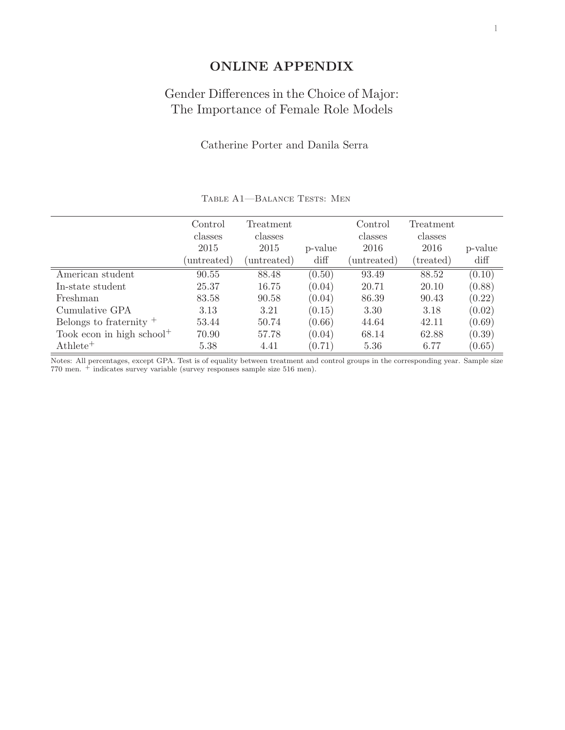## **ONLINE APPENDIX**

## Gender Differences in the Choice of Major: The Importance of Female Role Models

## Catherine Porter and Danila Serra

|                                       | Control<br>classes<br>2015<br>untreated) | Treatment<br>classes<br>2015<br>(untreated) | p-value<br>diff | Control<br>classes<br>2016<br>(untreated) | Treatment<br>classes<br>2016<br>(treated) | p-value<br>diff |
|---------------------------------------|------------------------------------------|---------------------------------------------|-----------------|-------------------------------------------|-------------------------------------------|-----------------|
| American student                      | 90.55                                    | 88.48                                       | (0.50)          | 93.49                                     | 88.52                                     | (0.10)          |
| In-state student                      | 25.37                                    | 16.75                                       | (0.04)          | 20.71                                     | 20.10                                     | (0.88)          |
| Freshman                              | 83.58                                    | 90.58                                       | (0.04)          | 86.39                                     | 90.43                                     | (0.22)          |
| Cumulative GPA                        | 3.13                                     | 3.21                                        | (0.15)          | 3.30                                      | 3.18                                      | (0.02)          |
| Belongs to fraternity $^+$            | 53.44                                    | 50.74                                       | (0.66)          | 44.64                                     | 42.11                                     | (0.69)          |
| Took econ in high school <sup>+</sup> | 70.90                                    | 57.78                                       | (0.04)          | 68.14                                     | 62.88                                     | (0.39)          |
| $\mathrm{Athlete}^+$                  | 5.38                                     | 4.41                                        | (0.71)          | 5.36                                      | 6.77                                      | (0.65)          |

TABLE A1-BALANCE TESTS: MEN

Notes: All percentages, except GPA. Test is of equality between treatment and control groups in the corresponding year. Sample size 770 men.  $\pm$  indicates survey variable (survey responses sample size 516 men).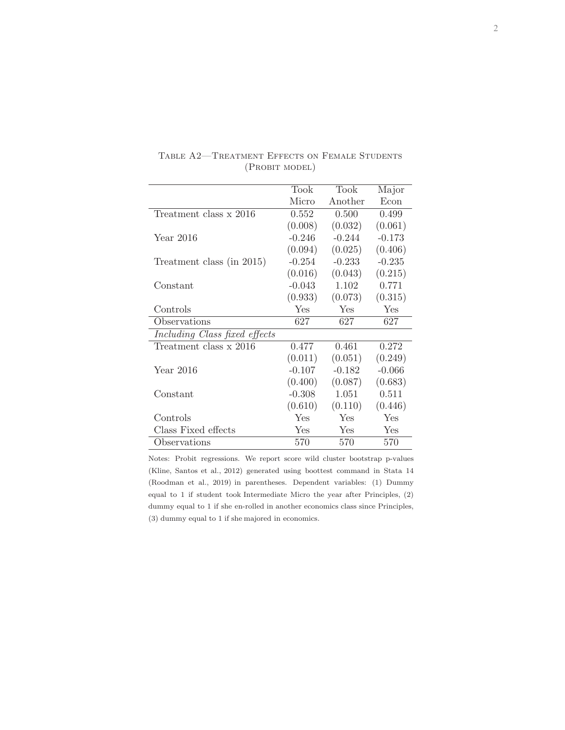|                               | Took     | Took     | Major    |
|-------------------------------|----------|----------|----------|
|                               | Micro    | Another  | Econ     |
| Treatment class x 2016        | 0.552    | 0.500    | 0.499    |
|                               | (0.008)  | (0.032)  | (0.061)  |
| Year 2016                     | $-0.246$ | $-0.244$ | $-0.173$ |
|                               | (0.094)  | (0.025)  | (0.406)  |
| Treatment class (in 2015)     | $-0.254$ | $-0.233$ | $-0.235$ |
|                               | (0.016)  | (0.043)  | (0.215)  |
| Constant                      | $-0.043$ | 1.102    | 0.771    |
|                               | (0.933)  | (0.073)  | (0.315)  |
| Controls                      | Yes      | Yes      | Yes      |
| Observations                  | 627      | 627      | 627      |
| Including Class fixed effects |          |          |          |
| Treatment class x 2016        | 0.477    | 0.461    | 0.272    |
|                               | (0.011)  | (0.051)  | (0.249)  |
| Year 2016                     | $-0.107$ | $-0.182$ | $-0.066$ |
|                               | (0.400)  | (0.087)  | (0.683)  |
| Constant                      | $-0.308$ | 1.051    | 0.511    |
|                               | (0.610)  | (0.110)  | (0.446)  |
| Controls                      | Yes      | Yes      | Yes      |
| Class Fixed effects           | Yes      | Yes      | Yes      |
| Observations                  | 570      | 570      | 570      |

Table A2—Treatment Effects on Female Students (Probit model)

Notes: Probit regressions. We report score wild cluster bootstrap p-values (Kline, Santos et al., 2012) generated using boottest command in Stata 14 (Roodman et al., 2019) in parentheses. Dependent variables: (1) Dummy equal to 1 if student took Intermediate Micro the year after Principles, (2) dummy equal to 1 if she en-rolled in another economics class since Principles, (3) dummy equal to 1 if she majored in economics.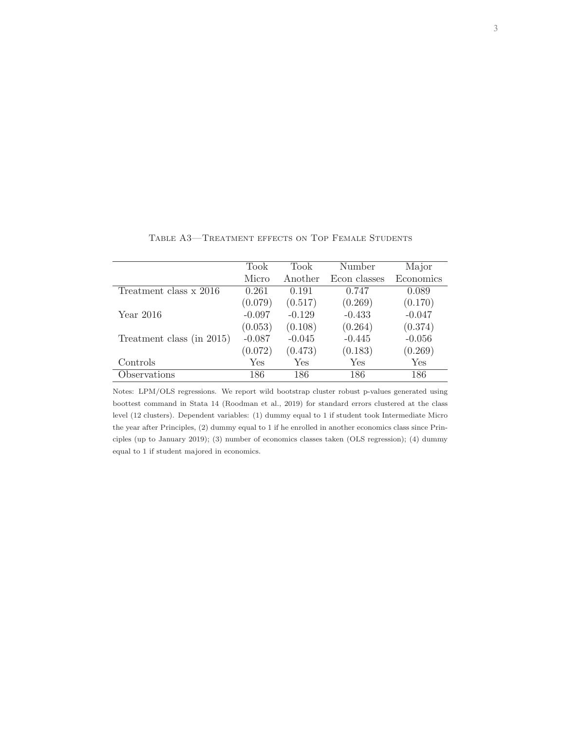|                           | Took     | Took     | Number       | Major     |
|---------------------------|----------|----------|--------------|-----------|
|                           | Micro    | Another  | Econ classes | Economics |
| Treatment class x 2016    | 0.261    | 0.191    | 0.747        | 0.089     |
|                           | (0.079)  | (0.517)  | (0.269)      | (0.170)   |
| Year 2016                 | $-0.097$ | $-0.129$ | $-0.433$     | $-0.047$  |
|                           | (0.053)  | (0.108)  | (0.264)      | (0.374)   |
| Treatment class (in 2015) | $-0.087$ | $-0.045$ | $-0.445$     | $-0.056$  |
|                           | (0.072)  | (0.473)  | (0.183)      | (0.269)   |
| Controls                  | Yes      | Yes      | Yes          | Yes       |
| Observations              | 186      | 186      | 186          | 186       |

Table A3—Treatment effects on Top Female Students

Notes: LPM/OLS regressions. We report wild bootstrap cluster robust p-values generated using boottest command in Stata 14 (Roodman et al., 2019) for standard errors clustered at the class level (12 clusters). Dependent variables: (1) dummy equal to 1 if student took Intermediate Micro the year after Principles, (2) dummy equal to 1 if he enrolled in another economics class since Principles (up to January 2019); (3) number of economics classes taken (OLS regression); (4) dummy equal to 1 if student majored in economics.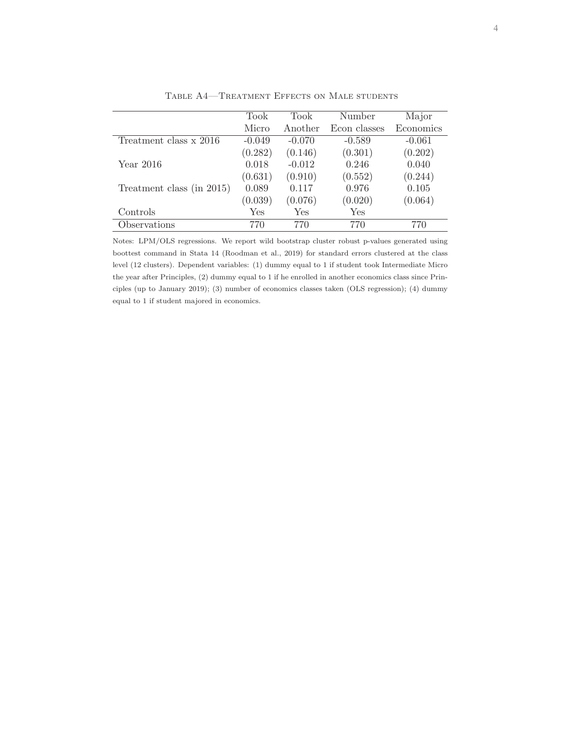|                           | Took     | Took     | Number       | Major     |
|---------------------------|----------|----------|--------------|-----------|
|                           | Micro    | Another  | Econ classes | Economics |
| Treatment class x 2016    | $-0.049$ | $-0.070$ | $-0.589$     | $-0.061$  |
|                           | (0.282)  | (0.146)  | (0.301)      | (0.202)   |
| Year 2016                 | 0.018    | $-0.012$ | 0.246        | 0.040     |
|                           | (0.631)  | (0.910)  | (0.552)      | (0.244)   |
| Treatment class (in 2015) | 0.089    | 0.117    | 0.976        | 0.105     |
|                           | (0.039)  | (0.076)  | (0.020)      | (0.064)   |
| Controls                  | Yes      | Yes      | Yes          |           |
| Observations              | 770      | 770      | 770          | 770       |

Table A4—Treatment Effects on Male students

Notes: LPM/OLS regressions. We report wild bootstrap cluster robust p-values generated using boottest command in Stata 14 (Roodman et al., 2019) for standard errors clustered at the class level (12 clusters). Dependent variables: (1) dummy equal to 1 if student took Intermediate Micro the year after Principles, (2) dummy equal to 1 if he enrolled in another economics class since Principles (up to January 2019); (3) number of economics classes taken (OLS regression); (4) dummy equal to 1 if student majored in economics.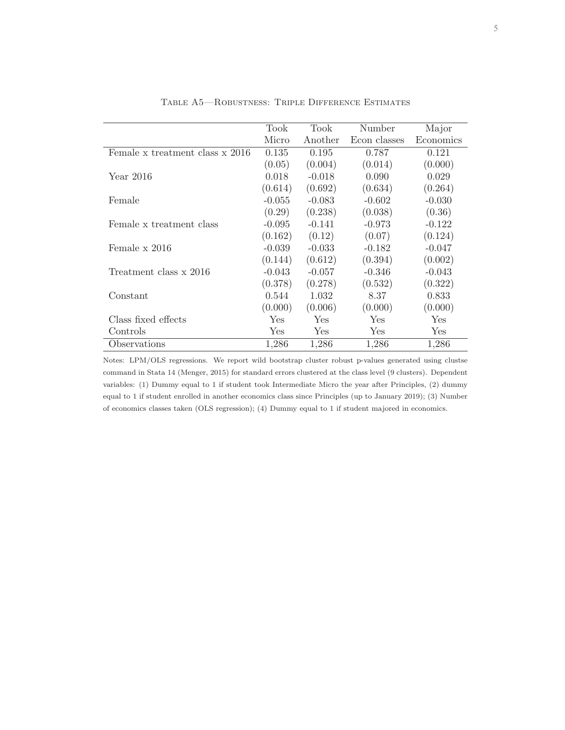|                                 | Took     | Took       | Number       | Major      |
|---------------------------------|----------|------------|--------------|------------|
|                                 | Micro    | Another    | Econ classes | Economics  |
| Female x treatment class x 2016 | 0.135    | 0.195      | 0.787        | 0.121      |
|                                 | (0.05)   | (0.004)    | (0.014)      | (0.000)    |
| Year 2016                       | 0.018    | $-0.018$   | 0.090        | 0.029      |
|                                 | (0.614)  | (0.692)    | (0.634)      | (0.264)    |
| Female                          | $-0.055$ | $-0.083$   | $-0.602$     | $-0.030$   |
|                                 | (0.29)   | (0.238)    | (0.038)      | (0.36)     |
| Female x treatment class        | $-0.095$ | $-0.141$   | $-0.973$     | $-0.122$   |
|                                 | (0.162)  | (0.12)     | (0.07)       | (0.124)    |
| Female x 2016                   | $-0.039$ | $-0.033$   | $-0.182$     | $-0.047$   |
|                                 | (0.144)  | (0.612)    | (0.394)      | (0.002)    |
| Treatment class x 2016          | $-0.043$ | $-0.057$   | $-0.346$     | $-0.043$   |
|                                 | (0.378)  | (0.278)    | (0.532)      | (0.322)    |
| Constant                        | 0.544    | 1.032      | 8.37         | 0.833      |
|                                 | (0.000)  | (0.006)    | (0.000)      | (0.000)    |
| Class fixed effects             | Yes      | <b>Yes</b> | Yes          | <b>Yes</b> |
| Controls                        | Yes      | Yes        | Yes          | Yes        |
| Observations                    | 1,286    | 1,286      | 1,286        | 1,286      |

Table A5—Robustness: Triple Difference Estimates

Notes: LPM/OLS regressions. We report wild bootstrap cluster robust p-values generated using clustse command in Stata 14 (Menger, 2015) for standard errors clustered at the class level (9 clusters). Dependent variables: (1) Dummy equal to 1 if student took Intermediate Micro the year after Principles, (2) dummy equal to 1 if student enrolled in another economics class since Principles (up to January 2019); (3) Number of economics classes taken (OLS regression); (4) Dummy equal to 1 if student majored in economics.